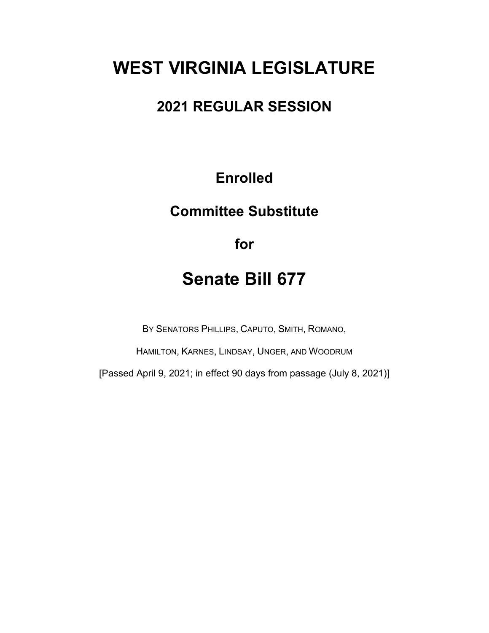# **WEST VIRGINIA LEGISLATURE**

# **2021 REGULAR SESSION**

# **Enrolled**

# **Committee Substitute**

**for**

# **Senate Bill 677**

BY SENATORS PHILLIPS, CAPUTO, SMITH, ROMANO,

HAMILTON, KARNES, LINDSAY, UNGER, AND WOODRUM

[Passed April 9, 2021; in effect 90 days from passage (July 8, 2021)]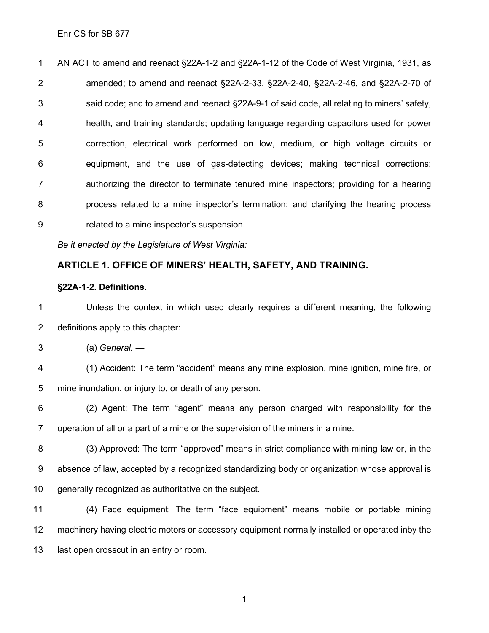AN ACT to amend and reenact §22A-1-2 and §22A-1-12 of the Code of West Virginia, 1931, as amended; to amend and reenact §22A-2-33, §22A-2-40, §22A-2-46, and §22A-2-70 of said code; and to amend and reenact §22A-9-1 of said code, all relating to miners' safety, health, and training standards; updating language regarding capacitors used for power correction, electrical work performed on low, medium, or high voltage circuits or equipment, and the use of gas-detecting devices; making technical corrections; authorizing the director to terminate tenured mine inspectors; providing for a hearing process related to a mine inspector's termination; and clarifying the hearing process related to a mine inspector's suspension.

*Be it enacted by the Legislature of West Virginia:*

### **ARTICLE 1. OFFICE OF MINERS' HEALTH, SAFETY, AND TRAINING.**

#### **§22A-1-2. Definitions.**

 Unless the context in which used clearly requires a different meaning, the following definitions apply to this chapter:

(a) *General. —*

 (1) Accident: The term "accident" means any mine explosion, mine ignition, mine fire, or mine inundation, or injury to, or death of any person.

 (2) Agent: The term "agent" means any person charged with responsibility for the operation of all or a part of a mine or the supervision of the miners in a mine.

 (3) Approved: The term "approved" means in strict compliance with mining law or, in the absence of law, accepted by a recognized standardizing body or organization whose approval is generally recognized as authoritative on the subject.

 (4) Face equipment: The term "face equipment" means mobile or portable mining machinery having electric motors or accessory equipment normally installed or operated inby the 13 last open crosscut in an entry or room.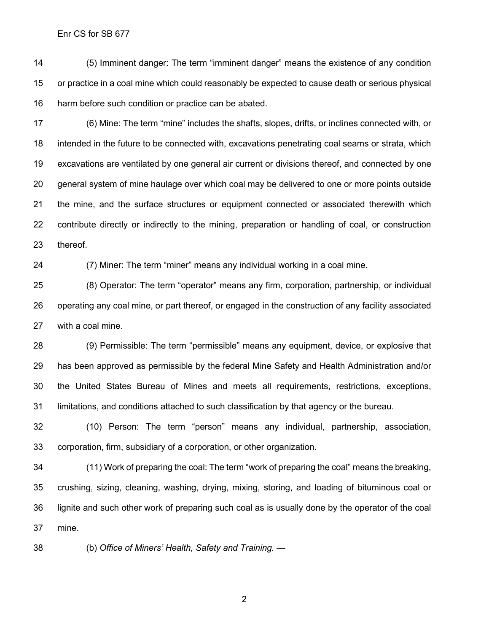(5) Imminent danger: The term "imminent danger" means the existence of any condition or practice in a coal mine which could reasonably be expected to cause death or serious physical harm before such condition or practice can be abated.

 (6) Mine: The term "mine" includes the shafts, slopes, drifts, or inclines connected with, or intended in the future to be connected with, excavations penetrating coal seams or strata, which excavations are ventilated by one general air current or divisions thereof, and connected by one general system of mine haulage over which coal may be delivered to one or more points outside the mine, and the surface structures or equipment connected or associated therewith which 22 contribute directly or indirectly to the mining, preparation or handling of coal, or construction thereof.

(7) Miner: The term "miner" means any individual working in a coal mine.

 (8) Operator: The term "operator" means any firm, corporation, partnership, or individual operating any coal mine, or part thereof, or engaged in the construction of any facility associated with a coal mine.

 (9) Permissible: The term "permissible" means any equipment, device, or explosive that has been approved as permissible by the federal Mine Safety and Health Administration and/or the United States Bureau of Mines and meets all requirements, restrictions, exceptions, limitations, and conditions attached to such classification by that agency or the bureau.

 (10) Person: The term "person" means any individual, partnership, association, corporation, firm, subsidiary of a corporation, or other organization.

 (11) Work of preparing the coal: The term "work of preparing the coal" means the breaking, crushing, sizing, cleaning, washing, drying, mixing, storing, and loading of bituminous coal or lignite and such other work of preparing such coal as is usually done by the operator of the coal mine.

(b) *Office of Miners' Health, Safety and Training. —*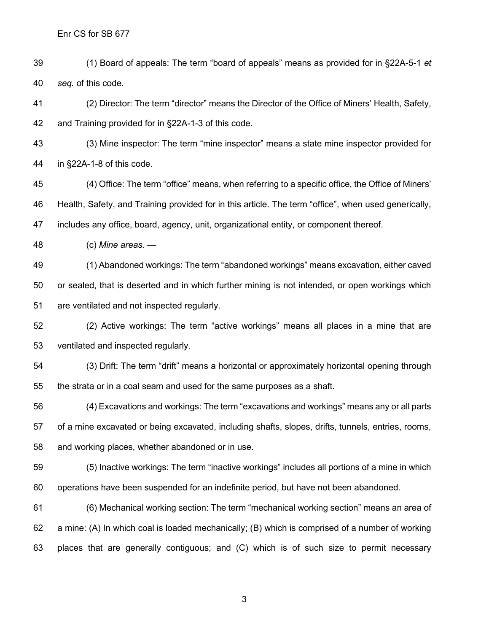(1) Board of appeals: The term "board of appeals" means as provided for in §22A-5-1 *et seq.* of this code.

 (2) Director: The term "director" means the Director of the Office of Miners' Health, Safety, and Training provided for in §22A-1-3 of this code.

 (3) Mine inspector: The term "mine inspector" means a state mine inspector provided for in §22A-1-8 of this code.

 (4) Office: The term "office" means, when referring to a specific office, the Office of Miners' Health, Safety, and Training provided for in this article. The term "office", when used generically, includes any office, board, agency, unit, organizational entity, or component thereof.

(c) *Mine areas. —*

 (1) Abandoned workings: The term "abandoned workings" means excavation, either caved or sealed, that is deserted and in which further mining is not intended, or open workings which are ventilated and not inspected regularly.

 (2) Active workings: The term "active workings" means all places in a mine that are ventilated and inspected regularly.

 (3) Drift: The term "drift" means a horizontal or approximately horizontal opening through the strata or in a coal seam and used for the same purposes as a shaft.

 (4) Excavations and workings: The term "excavations and workings" means any or all parts of a mine excavated or being excavated, including shafts, slopes, drifts, tunnels, entries, rooms, and working places, whether abandoned or in use.

 (5) Inactive workings: The term "inactive workings" includes all portions of a mine in which operations have been suspended for an indefinite period, but have not been abandoned.

 (6) Mechanical working section: The term "mechanical working section" means an area of a mine: (A) In which coal is loaded mechanically; (B) which is comprised of a number of working places that are generally contiguous; and (C) which is of such size to permit necessary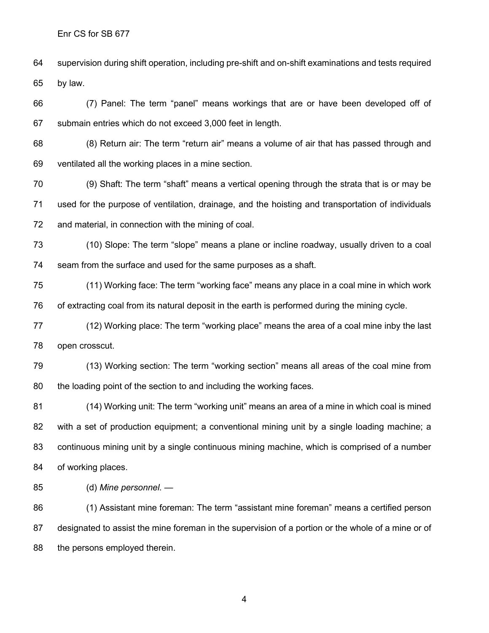supervision during shift operation, including pre-shift and on-shift examinations and tests required by law.

 (7) Panel: The term "panel" means workings that are or have been developed off of submain entries which do not exceed 3,000 feet in length.

 (8) Return air: The term "return air" means a volume of air that has passed through and ventilated all the working places in a mine section.

 (9) Shaft: The term "shaft" means a vertical opening through the strata that is or may be used for the purpose of ventilation, drainage, and the hoisting and transportation of individuals and material, in connection with the mining of coal.

 (10) Slope: The term "slope" means a plane or incline roadway, usually driven to a coal seam from the surface and used for the same purposes as a shaft.

 (11) Working face: The term "working face" means any place in a coal mine in which work of extracting coal from its natural deposit in the earth is performed during the mining cycle.

 (12) Working place: The term "working place" means the area of a coal mine inby the last open crosscut.

 (13) Working section: The term "working section" means all areas of the coal mine from the loading point of the section to and including the working faces.

 (14) Working unit: The term "working unit" means an area of a mine in which coal is mined with a set of production equipment; a conventional mining unit by a single loading machine; a continuous mining unit by a single continuous mining machine, which is comprised of a number of working places.

(d) *Mine personnel. —*

 (1) Assistant mine foreman: The term "assistant mine foreman" means a certified person designated to assist the mine foreman in the supervision of a portion or the whole of a mine or of 88 the persons employed therein.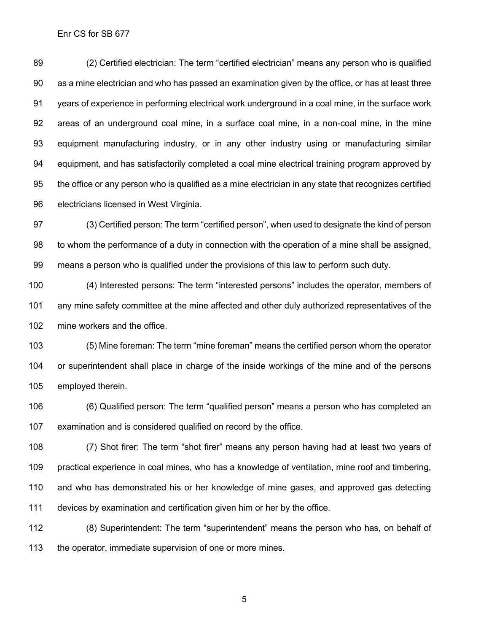(2) Certified electrician: The term "certified electrician" means any person who is qualified as a mine electrician and who has passed an examination given by the office, or has at least three years of experience in performing electrical work underground in a coal mine, in the surface work areas of an underground coal mine, in a surface coal mine, in a non-coal mine, in the mine equipment manufacturing industry, or in any other industry using or manufacturing similar equipment, and has satisfactorily completed a coal mine electrical training program approved by the office or any person who is qualified as a mine electrician in any state that recognizes certified electricians licensed in West Virginia.

 (3) Certified person: The term "certified person", when used to designate the kind of person to whom the performance of a duty in connection with the operation of a mine shall be assigned, means a person who is qualified under the provisions of this law to perform such duty.

 (4) Interested persons: The term "interested persons" includes the operator, members of any mine safety committee at the mine affected and other duly authorized representatives of the mine workers and the office.

 (5) Mine foreman: The term "mine foreman" means the certified person whom the operator or superintendent shall place in charge of the inside workings of the mine and of the persons employed therein.

 (6) Qualified person: The term "qualified person" means a person who has completed an examination and is considered qualified on record by the office.

 (7) Shot firer: The term "shot firer" means any person having had at least two years of practical experience in coal mines, who has a knowledge of ventilation, mine roof and timbering, and who has demonstrated his or her knowledge of mine gases, and approved gas detecting devices by examination and certification given him or her by the office.

 (8) Superintendent: The term "superintendent" means the person who has, on behalf of 113 the operator, immediate supervision of one or more mines.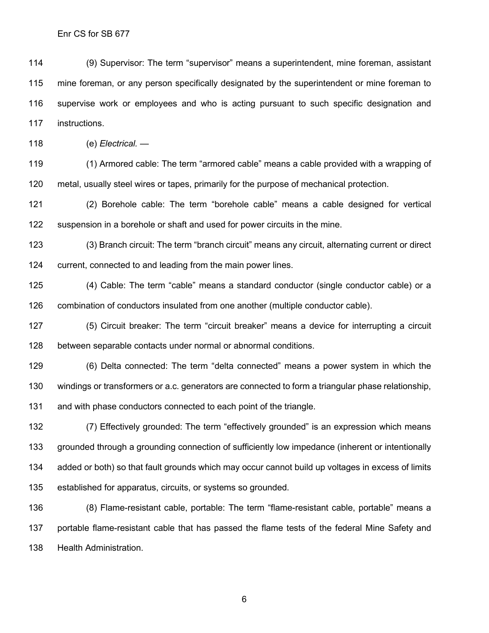(9) Supervisor: The term "supervisor" means a superintendent, mine foreman, assistant mine foreman, or any person specifically designated by the superintendent or mine foreman to supervise work or employees and who is acting pursuant to such specific designation and instructions.

(e) *Electrical. —*

 (1) Armored cable: The term "armored cable" means a cable provided with a wrapping of metal, usually steel wires or tapes, primarily for the purpose of mechanical protection.

 (2) Borehole cable: The term "borehole cable" means a cable designed for vertical suspension in a borehole or shaft and used for power circuits in the mine.

 (3) Branch circuit: The term "branch circuit" means any circuit, alternating current or direct current, connected to and leading from the main power lines.

 (4) Cable: The term "cable" means a standard conductor (single conductor cable) or a combination of conductors insulated from one another (multiple conductor cable).

 (5) Circuit breaker: The term "circuit breaker" means a device for interrupting a circuit between separable contacts under normal or abnormal conditions.

 (6) Delta connected: The term "delta connected" means a power system in which the windings or transformers or a.c. generators are connected to form a triangular phase relationship, and with phase conductors connected to each point of the triangle.

 (7) Effectively grounded: The term "effectively grounded" is an expression which means grounded through a grounding connection of sufficiently low impedance (inherent or intentionally added or both) so that fault grounds which may occur cannot build up voltages in excess of limits established for apparatus, circuits, or systems so grounded.

 (8) Flame-resistant cable, portable: The term "flame-resistant cable, portable" means a portable flame-resistant cable that has passed the flame tests of the federal Mine Safety and Health Administration.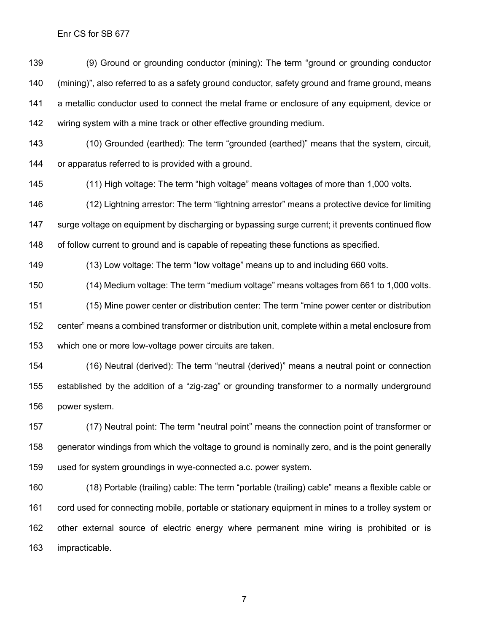(9) Ground or grounding conductor (mining): The term "ground or grounding conductor (mining)", also referred to as a safety ground conductor, safety ground and frame ground, means a metallic conductor used to connect the metal frame or enclosure of any equipment, device or wiring system with a mine track or other effective grounding medium.

 (10) Grounded (earthed): The term "grounded (earthed)" means that the system, circuit, or apparatus referred to is provided with a ground.

(11) High voltage: The term "high voltage" means voltages of more than 1,000 volts.

 (12) Lightning arrestor: The term "lightning arrestor" means a protective device for limiting surge voltage on equipment by discharging or bypassing surge current; it prevents continued flow of follow current to ground and is capable of repeating these functions as specified.

(13) Low voltage: The term "low voltage" means up to and including 660 volts.

(14) Medium voltage: The term "medium voltage" means voltages from 661 to 1,000 volts.

 (15) Mine power center or distribution center: The term "mine power center or distribution center" means a combined transformer or distribution unit, complete within a metal enclosure from which one or more low-voltage power circuits are taken.

 (16) Neutral (derived): The term "neutral (derived)" means a neutral point or connection established by the addition of a "zig-zag" or grounding transformer to a normally underground power system.

 (17) Neutral point: The term "neutral point" means the connection point of transformer or generator windings from which the voltage to ground is nominally zero, and is the point generally used for system groundings in wye-connected a.c. power system.

 (18) Portable (trailing) cable: The term "portable (trailing) cable" means a flexible cable or cord used for connecting mobile, portable or stationary equipment in mines to a trolley system or other external source of electric energy where permanent mine wiring is prohibited or is impracticable.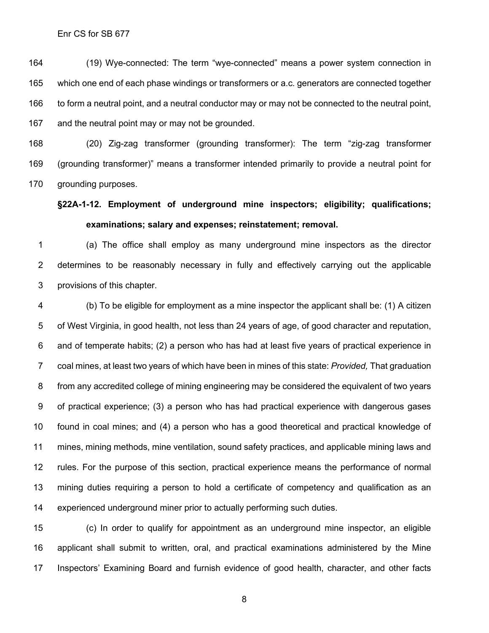(19) Wye-connected: The term "wye-connected" means a power system connection in which one end of each phase windings or transformers or a.c. generators are connected together 166 to form a neutral point, and a neutral conductor may or may not be connected to the neutral point, and the neutral point may or may not be grounded.

 (20) Zig-zag transformer (grounding transformer): The term "zig-zag transformer (grounding transformer)" means a transformer intended primarily to provide a neutral point for grounding purposes.

### **§22A-1-12. Employment of underground mine inspectors; eligibility; qualifications; examinations; salary and expenses; reinstatement; removal.**

 (a) The office shall employ as many underground mine inspectors as the director determines to be reasonably necessary in fully and effectively carrying out the applicable provisions of this chapter.

 (b) To be eligible for employment as a mine inspector the applicant shall be: (1) A citizen of West Virginia, in good health, not less than 24 years of age, of good character and reputation, and of temperate habits; (2) a person who has had at least five years of practical experience in coal mines, at least two years of which have been in mines of this state: *Provided,* That graduation from any accredited college of mining engineering may be considered the equivalent of two years of practical experience; (3) a person who has had practical experience with dangerous gases found in coal mines; and (4) a person who has a good theoretical and practical knowledge of mines, mining methods, mine ventilation, sound safety practices, and applicable mining laws and rules. For the purpose of this section, practical experience means the performance of normal mining duties requiring a person to hold a certificate of competency and qualification as an experienced underground miner prior to actually performing such duties.

 (c) In order to qualify for appointment as an underground mine inspector, an eligible applicant shall submit to written, oral, and practical examinations administered by the Mine Inspectors' Examining Board and furnish evidence of good health, character, and other facts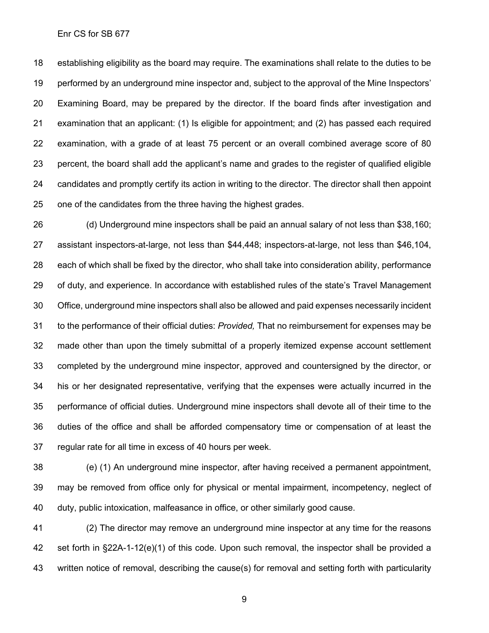establishing eligibility as the board may require. The examinations shall relate to the duties to be performed by an underground mine inspector and, subject to the approval of the Mine Inspectors' Examining Board, may be prepared by the director. If the board finds after investigation and examination that an applicant: (1) Is eligible for appointment; and (2) has passed each required examination, with a grade of at least 75 percent or an overall combined average score of 80 percent, the board shall add the applicant's name and grades to the register of qualified eligible candidates and promptly certify its action in writing to the director. The director shall then appoint one of the candidates from the three having the highest grades.

 (d) Underground mine inspectors shall be paid an annual salary of not less than \$38,160; assistant inspectors-at-large, not less than \$44,448; inspectors-at-large, not less than \$46,104, each of which shall be fixed by the director, who shall take into consideration ability, performance of duty, and experience. In accordance with established rules of the state's Travel Management Office, underground mine inspectors shall also be allowed and paid expenses necessarily incident to the performance of their official duties: *Provided,* That no reimbursement for expenses may be made other than upon the timely submittal of a properly itemized expense account settlement completed by the underground mine inspector, approved and countersigned by the director, or his or her designated representative, verifying that the expenses were actually incurred in the performance of official duties. Underground mine inspectors shall devote all of their time to the duties of the office and shall be afforded compensatory time or compensation of at least the regular rate for all time in excess of 40 hours per week.

 (e) (1) An underground mine inspector, after having received a permanent appointment, may be removed from office only for physical or mental impairment, incompetency, neglect of duty, public intoxication, malfeasance in office, or other similarly good cause.

 (2) The director may remove an underground mine inspector at any time for the reasons set forth in §22A-1-12(e)(1) of this code. Upon such removal, the inspector shall be provided a written notice of removal, describing the cause(s) for removal and setting forth with particularity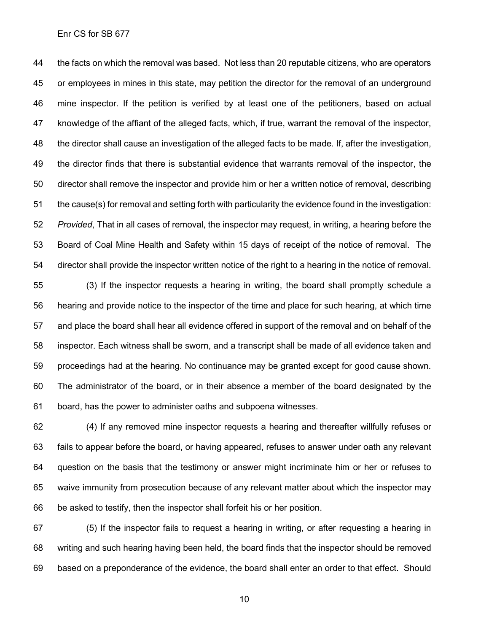the facts on which the removal was based. Not less than 20 reputable citizens, who are operators or employees in mines in this state, may petition the director for the removal of an underground mine inspector. If the petition is verified by at least one of the petitioners, based on actual knowledge of the affiant of the alleged facts, which, if true, warrant the removal of the inspector, the director shall cause an investigation of the alleged facts to be made. If, after the investigation, the director finds that there is substantial evidence that warrants removal of the inspector, the director shall remove the inspector and provide him or her a written notice of removal, describing the cause(s) for removal and setting forth with particularity the evidence found in the investigation: *Provided*, That in all cases of removal, the inspector may request, in writing, a hearing before the Board of Coal Mine Health and Safety within 15 days of receipt of the notice of removal. The director shall provide the inspector written notice of the right to a hearing in the notice of removal.

 (3) If the inspector requests a hearing in writing, the board shall promptly schedule a hearing and provide notice to the inspector of the time and place for such hearing, at which time and place the board shall hear all evidence offered in support of the removal and on behalf of the inspector. Each witness shall be sworn, and a transcript shall be made of all evidence taken and proceedings had at the hearing. No continuance may be granted except for good cause shown. The administrator of the board, or in their absence a member of the board designated by the board, has the power to administer oaths and subpoena witnesses.

 (4) If any removed mine inspector requests a hearing and thereafter willfully refuses or fails to appear before the board, or having appeared, refuses to answer under oath any relevant question on the basis that the testimony or answer might incriminate him or her or refuses to waive immunity from prosecution because of any relevant matter about which the inspector may be asked to testify, then the inspector shall forfeit his or her position.

 (5) If the inspector fails to request a hearing in writing, or after requesting a hearing in writing and such hearing having been held, the board finds that the inspector should be removed based on a preponderance of the evidence, the board shall enter an order to that effect. Should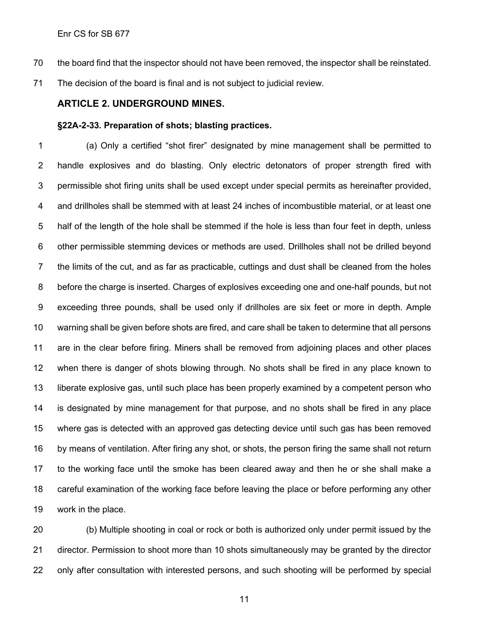- the board find that the inspector should not have been removed, the inspector shall be reinstated.
- The decision of the board is final and is not subject to judicial review.

### **ARTICLE 2. UNDERGROUND MINES.**

#### **§22A-2-33. Preparation of shots; blasting practices.**

 (a) Only a certified "shot firer" designated by mine management shall be permitted to handle explosives and do blasting. Only electric detonators of proper strength fired with permissible shot firing units shall be used except under special permits as hereinafter provided, and drillholes shall be stemmed with at least 24 inches of incombustible material, or at least one half of the length of the hole shall be stemmed if the hole is less than four feet in depth, unless other permissible stemming devices or methods are used. Drillholes shall not be drilled beyond the limits of the cut, and as far as practicable, cuttings and dust shall be cleaned from the holes before the charge is inserted. Charges of explosives exceeding one and one-half pounds, but not exceeding three pounds, shall be used only if drillholes are six feet or more in depth. Ample warning shall be given before shots are fired, and care shall be taken to determine that all persons are in the clear before firing. Miners shall be removed from adjoining places and other places when there is danger of shots blowing through. No shots shall be fired in any place known to liberate explosive gas, until such place has been properly examined by a competent person who is designated by mine management for that purpose, and no shots shall be fired in any place where gas is detected with an approved gas detecting device until such gas has been removed by means of ventilation. After firing any shot, or shots, the person firing the same shall not return to the working face until the smoke has been cleared away and then he or she shall make a careful examination of the working face before leaving the place or before performing any other work in the place.

 (b) Multiple shooting in coal or rock or both is authorized only under permit issued by the director. Permission to shoot more than 10 shots simultaneously may be granted by the director only after consultation with interested persons, and such shooting will be performed by special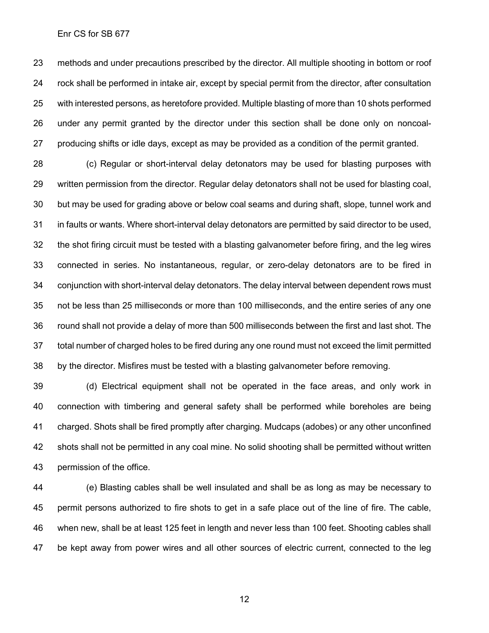methods and under precautions prescribed by the director. All multiple shooting in bottom or roof rock shall be performed in intake air, except by special permit from the director, after consultation with interested persons, as heretofore provided. Multiple blasting of more than 10 shots performed under any permit granted by the director under this section shall be done only on noncoal-producing shifts or idle days, except as may be provided as a condition of the permit granted.

 (c) Regular or short-interval delay detonators may be used for blasting purposes with written permission from the director. Regular delay detonators shall not be used for blasting coal, but may be used for grading above or below coal seams and during shaft, slope, tunnel work and in faults or wants. Where short-interval delay detonators are permitted by said director to be used, the shot firing circuit must be tested with a blasting galvanometer before firing, and the leg wires connected in series. No instantaneous, regular, or zero-delay detonators are to be fired in conjunction with short-interval delay detonators. The delay interval between dependent rows must not be less than 25 milliseconds or more than 100 milliseconds, and the entire series of any one round shall not provide a delay of more than 500 milliseconds between the first and last shot. The total number of charged holes to be fired during any one round must not exceed the limit permitted by the director. Misfires must be tested with a blasting galvanometer before removing.

 (d) Electrical equipment shall not be operated in the face areas, and only work in connection with timbering and general safety shall be performed while boreholes are being charged. Shots shall be fired promptly after charging. Mudcaps (adobes) or any other unconfined shots shall not be permitted in any coal mine. No solid shooting shall be permitted without written permission of the office.

 (e) Blasting cables shall be well insulated and shall be as long as may be necessary to permit persons authorized to fire shots to get in a safe place out of the line of fire. The cable, when new, shall be at least 125 feet in length and never less than 100 feet. Shooting cables shall be kept away from power wires and all other sources of electric current, connected to the leg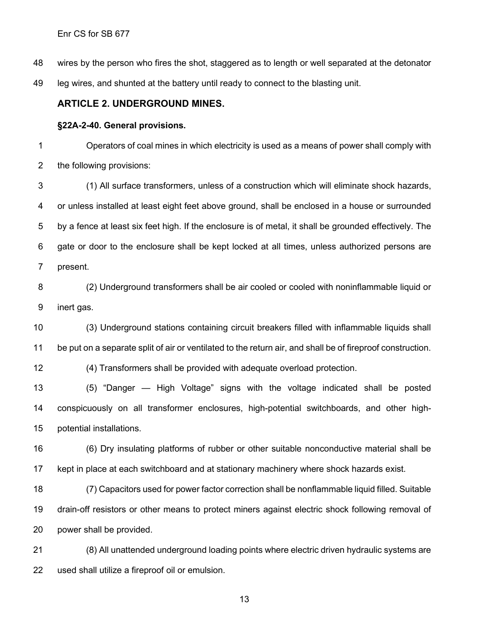wires by the person who fires the shot, staggered as to length or well separated at the detonator

leg wires, and shunted at the battery until ready to connect to the blasting unit.

#### **ARTICLE 2. UNDERGROUND MINES.**

#### **§22A-2-40. General provisions.**

 Operators of coal mines in which electricity is used as a means of power shall comply with the following provisions:

 (1) All surface transformers, unless of a construction which will eliminate shock hazards, or unless installed at least eight feet above ground, shall be enclosed in a house or surrounded by a fence at least six feet high. If the enclosure is of metal, it shall be grounded effectively. The gate or door to the enclosure shall be kept locked at all times, unless authorized persons are present.

 (2) Underground transformers shall be air cooled or cooled with noninflammable liquid or inert gas.

 (3) Underground stations containing circuit breakers filled with inflammable liquids shall be put on a separate split of air or ventilated to the return air, and shall be of fireproof construction.

(4) Transformers shall be provided with adequate overload protection.

 (5) "Danger — High Voltage" signs with the voltage indicated shall be posted conspicuously on all transformer enclosures, high-potential switchboards, and other high-potential installations.

 (6) Dry insulating platforms of rubber or other suitable nonconductive material shall be kept in place at each switchboard and at stationary machinery where shock hazards exist.

 (7) Capacitors used for power factor correction shall be nonflammable liquid filled. Suitable drain-off resistors or other means to protect miners against electric shock following removal of power shall be provided.

 (8) All unattended underground loading points where electric driven hydraulic systems are used shall utilize a fireproof oil or emulsion.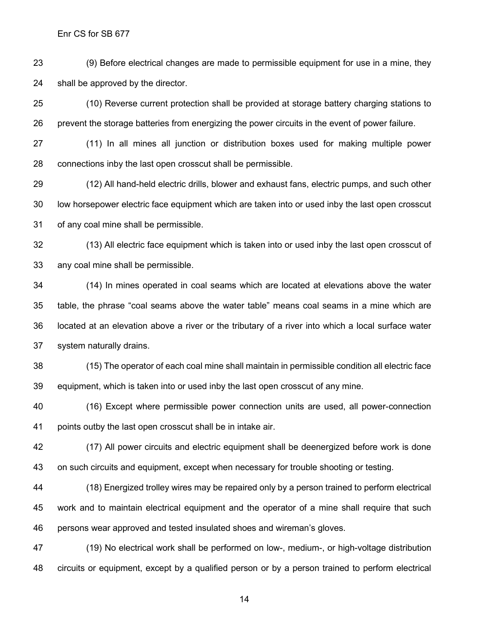(9) Before electrical changes are made to permissible equipment for use in a mine, they shall be approved by the director.

 (10) Reverse current protection shall be provided at storage battery charging stations to prevent the storage batteries from energizing the power circuits in the event of power failure.

 (11) In all mines all junction or distribution boxes used for making multiple power connections inby the last open crosscut shall be permissible.

 (12) All hand-held electric drills, blower and exhaust fans, electric pumps, and such other low horsepower electric face equipment which are taken into or used inby the last open crosscut of any coal mine shall be permissible.

 (13) All electric face equipment which is taken into or used inby the last open crosscut of any coal mine shall be permissible.

 (14) In mines operated in coal seams which are located at elevations above the water table, the phrase "coal seams above the water table" means coal seams in a mine which are located at an elevation above a river or the tributary of a river into which a local surface water system naturally drains.

 (15) The operator of each coal mine shall maintain in permissible condition all electric face equipment, which is taken into or used inby the last open crosscut of any mine.

 (16) Except where permissible power connection units are used, all power-connection points outby the last open crosscut shall be in intake air.

 (17) All power circuits and electric equipment shall be deenergized before work is done on such circuits and equipment, except when necessary for trouble shooting or testing.

 (18) Energized trolley wires may be repaired only by a person trained to perform electrical work and to maintain electrical equipment and the operator of a mine shall require that such persons wear approved and tested insulated shoes and wireman's gloves.

 (19) No electrical work shall be performed on low-, medium-, or high-voltage distribution circuits or equipment, except by a qualified person or by a person trained to perform electrical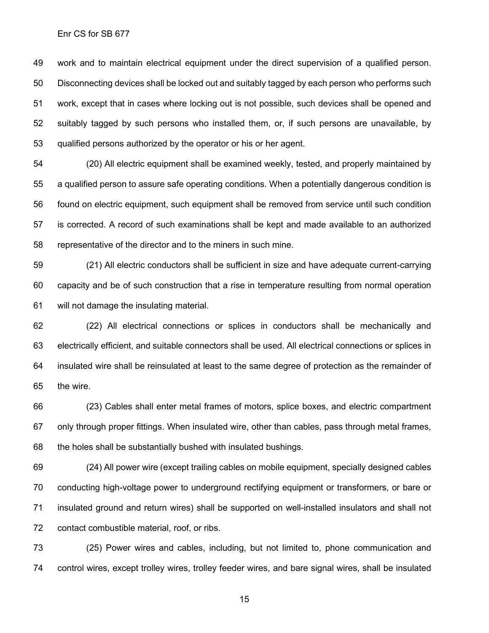work and to maintain electrical equipment under the direct supervision of a qualified person. Disconnecting devices shall be locked out and suitably tagged by each person who performs such work, except that in cases where locking out is not possible, such devices shall be opened and suitably tagged by such persons who installed them, or, if such persons are unavailable, by qualified persons authorized by the operator or his or her agent.

 (20) All electric equipment shall be examined weekly, tested, and properly maintained by a qualified person to assure safe operating conditions. When a potentially dangerous condition is found on electric equipment, such equipment shall be removed from service until such condition is corrected. A record of such examinations shall be kept and made available to an authorized representative of the director and to the miners in such mine.

 (21) All electric conductors shall be sufficient in size and have adequate current-carrying capacity and be of such construction that a rise in temperature resulting from normal operation will not damage the insulating material.

 (22) All electrical connections or splices in conductors shall be mechanically and electrically efficient, and suitable connectors shall be used. All electrical connections or splices in insulated wire shall be reinsulated at least to the same degree of protection as the remainder of the wire.

 (23) Cables shall enter metal frames of motors, splice boxes, and electric compartment only through proper fittings. When insulated wire, other than cables, pass through metal frames, the holes shall be substantially bushed with insulated bushings.

 (24) All power wire (except trailing cables on mobile equipment, specially designed cables conducting high-voltage power to underground rectifying equipment or transformers, or bare or insulated ground and return wires) shall be supported on well-installed insulators and shall not contact combustible material, roof, or ribs.

 (25) Power wires and cables, including, but not limited to, phone communication and control wires, except trolley wires, trolley feeder wires, and bare signal wires, shall be insulated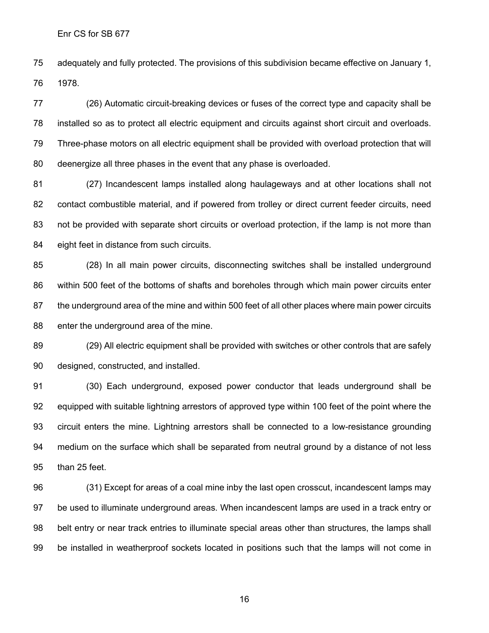adequately and fully protected. The provisions of this subdivision became effective on January 1, 1978.

 (26) Automatic circuit-breaking devices or fuses of the correct type and capacity shall be installed so as to protect all electric equipment and circuits against short circuit and overloads. Three-phase motors on all electric equipment shall be provided with overload protection that will deenergize all three phases in the event that any phase is overloaded.

 (27) Incandescent lamps installed along haulageways and at other locations shall not contact combustible material, and if powered from trolley or direct current feeder circuits, need 83 not be provided with separate short circuits or overload protection, if the lamp is not more than eight feet in distance from such circuits.

 (28) In all main power circuits, disconnecting switches shall be installed underground within 500 feet of the bottoms of shafts and boreholes through which main power circuits enter the underground area of the mine and within 500 feet of all other places where main power circuits enter the underground area of the mine.

 (29) All electric equipment shall be provided with switches or other controls that are safely designed, constructed, and installed.

 (30) Each underground, exposed power conductor that leads underground shall be equipped with suitable lightning arrestors of approved type within 100 feet of the point where the circuit enters the mine. Lightning arrestors shall be connected to a low-resistance grounding medium on the surface which shall be separated from neutral ground by a distance of not less than 25 feet.

 (31) Except for areas of a coal mine inby the last open crosscut, incandescent lamps may be used to illuminate underground areas. When incandescent lamps are used in a track entry or belt entry or near track entries to illuminate special areas other than structures, the lamps shall be installed in weatherproof sockets located in positions such that the lamps will not come in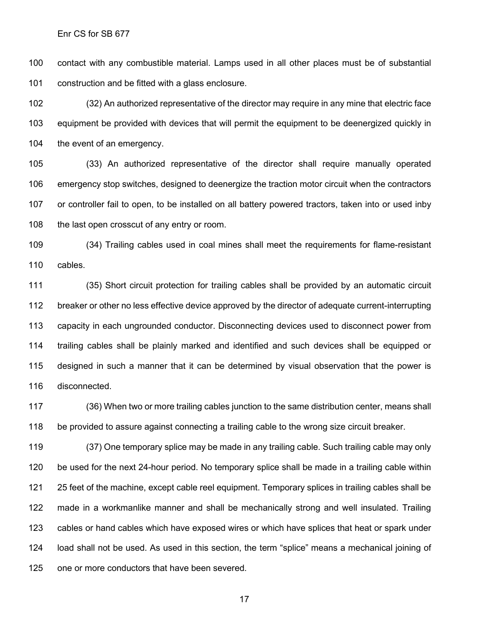contact with any combustible material. Lamps used in all other places must be of substantial construction and be fitted with a glass enclosure.

 (32) An authorized representative of the director may require in any mine that electric face equipment be provided with devices that will permit the equipment to be deenergized quickly in the event of an emergency.

 (33) An authorized representative of the director shall require manually operated emergency stop switches, designed to deenergize the traction motor circuit when the contractors or controller fail to open, to be installed on all battery powered tractors, taken into or used inby 108 the last open crosscut of any entry or room.

 (34) Trailing cables used in coal mines shall meet the requirements for flame-resistant cables.

 (35) Short circuit protection for trailing cables shall be provided by an automatic circuit breaker or other no less effective device approved by the director of adequate current-interrupting capacity in each ungrounded conductor. Disconnecting devices used to disconnect power from trailing cables shall be plainly marked and identified and such devices shall be equipped or designed in such a manner that it can be determined by visual observation that the power is disconnected.

 (36) When two or more trailing cables junction to the same distribution center, means shall be provided to assure against connecting a trailing cable to the wrong size circuit breaker.

 (37) One temporary splice may be made in any trailing cable. Such trailing cable may only be used for the next 24-hour period. No temporary splice shall be made in a trailing cable within 25 feet of the machine, except cable reel equipment. Temporary splices in trailing cables shall be made in a workmanlike manner and shall be mechanically strong and well insulated. Trailing cables or hand cables which have exposed wires or which have splices that heat or spark under load shall not be used. As used in this section, the term "splice" means a mechanical joining of one or more conductors that have been severed.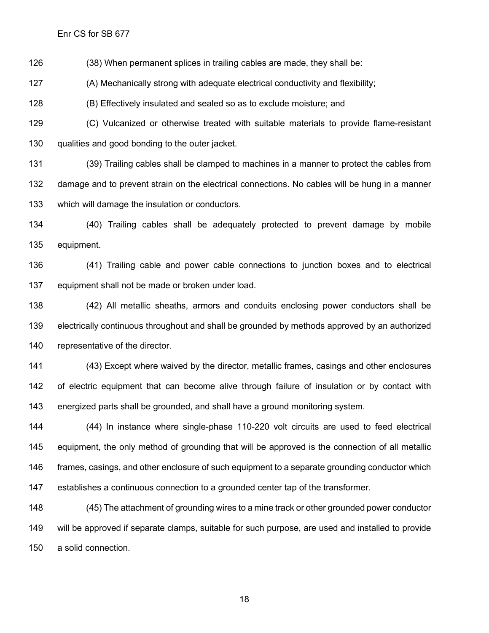(38) When permanent splices in trailing cables are made, they shall be:

(A) Mechanically strong with adequate electrical conductivity and flexibility;

(B) Effectively insulated and sealed so as to exclude moisture; and

 (C) Vulcanized or otherwise treated with suitable materials to provide flame-resistant qualities and good bonding to the outer jacket.

 (39) Trailing cables shall be clamped to machines in a manner to protect the cables from damage and to prevent strain on the electrical connections. No cables will be hung in a manner which will damage the insulation or conductors.

 (40) Trailing cables shall be adequately protected to prevent damage by mobile equipment.

 (41) Trailing cable and power cable connections to junction boxes and to electrical equipment shall not be made or broken under load.

 (42) All metallic sheaths, armors and conduits enclosing power conductors shall be electrically continuous throughout and shall be grounded by methods approved by an authorized representative of the director.

 (43) Except where waived by the director, metallic frames, casings and other enclosures of electric equipment that can become alive through failure of insulation or by contact with energized parts shall be grounded, and shall have a ground monitoring system.

 (44) In instance where single-phase 110-220 volt circuits are used to feed electrical equipment, the only method of grounding that will be approved is the connection of all metallic 146 frames, casings, and other enclosure of such equipment to a separate grounding conductor which establishes a continuous connection to a grounded center tap of the transformer.

 (45) The attachment of grounding wires to a mine track or other grounded power conductor will be approved if separate clamps, suitable for such purpose, are used and installed to provide a solid connection.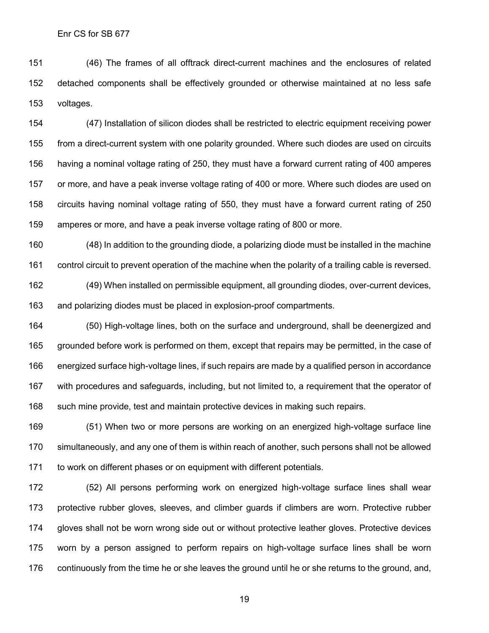(46) The frames of all offtrack direct-current machines and the enclosures of related detached components shall be effectively grounded or otherwise maintained at no less safe voltages.

 (47) Installation of silicon diodes shall be restricted to electric equipment receiving power from a direct-current system with one polarity grounded. Where such diodes are used on circuits having a nominal voltage rating of 250, they must have a forward current rating of 400 amperes or more, and have a peak inverse voltage rating of 400 or more. Where such diodes are used on circuits having nominal voltage rating of 550, they must have a forward current rating of 250 amperes or more, and have a peak inverse voltage rating of 800 or more.

 (48) In addition to the grounding diode, a polarizing diode must be installed in the machine control circuit to prevent operation of the machine when the polarity of a trailing cable is reversed.

 (49) When installed on permissible equipment, all grounding diodes, over-current devices, and polarizing diodes must be placed in explosion-proof compartments.

 (50) High-voltage lines, both on the surface and underground, shall be deenergized and grounded before work is performed on them, except that repairs may be permitted, in the case of energized surface high-voltage lines, if such repairs are made by a qualified person in accordance with procedures and safeguards, including, but not limited to, a requirement that the operator of such mine provide, test and maintain protective devices in making such repairs.

 (51) When two or more persons are working on an energized high-voltage surface line simultaneously, and any one of them is within reach of another, such persons shall not be allowed to work on different phases or on equipment with different potentials.

 (52) All persons performing work on energized high-voltage surface lines shall wear protective rubber gloves, sleeves, and climber guards if climbers are worn. Protective rubber gloves shall not be worn wrong side out or without protective leather gloves. Protective devices worn by a person assigned to perform repairs on high-voltage surface lines shall be worn continuously from the time he or she leaves the ground until he or she returns to the ground, and,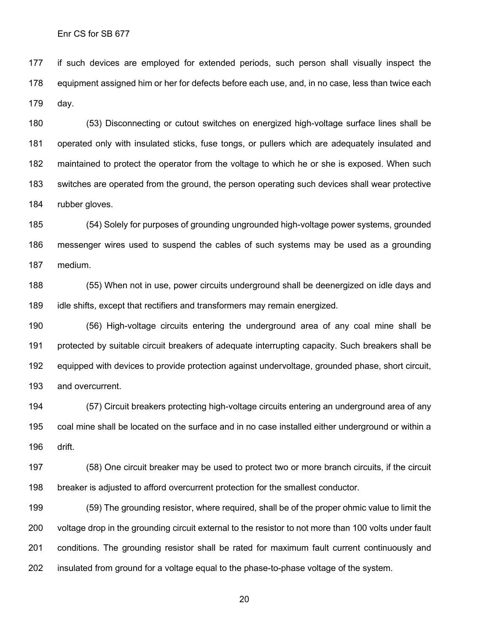if such devices are employed for extended periods, such person shall visually inspect the equipment assigned him or her for defects before each use, and, in no case, less than twice each day.

 (53) Disconnecting or cutout switches on energized high-voltage surface lines shall be operated only with insulated sticks, fuse tongs, or pullers which are adequately insulated and maintained to protect the operator from the voltage to which he or she is exposed. When such switches are operated from the ground, the person operating such devices shall wear protective rubber gloves.

 (54) Solely for purposes of grounding ungrounded high-voltage power systems, grounded messenger wires used to suspend the cables of such systems may be used as a grounding medium.

 (55) When not in use, power circuits underground shall be deenergized on idle days and idle shifts, except that rectifiers and transformers may remain energized.

 (56) High-voltage circuits entering the underground area of any coal mine shall be protected by suitable circuit breakers of adequate interrupting capacity. Such breakers shall be equipped with devices to provide protection against undervoltage, grounded phase, short circuit, and overcurrent.

 (57) Circuit breakers protecting high-voltage circuits entering an underground area of any coal mine shall be located on the surface and in no case installed either underground or within a drift.

 (58) One circuit breaker may be used to protect two or more branch circuits, if the circuit breaker is adjusted to afford overcurrent protection for the smallest conductor.

 (59) The grounding resistor, where required, shall be of the proper ohmic value to limit the voltage drop in the grounding circuit external to the resistor to not more than 100 volts under fault conditions. The grounding resistor shall be rated for maximum fault current continuously and insulated from ground for a voltage equal to the phase-to-phase voltage of the system.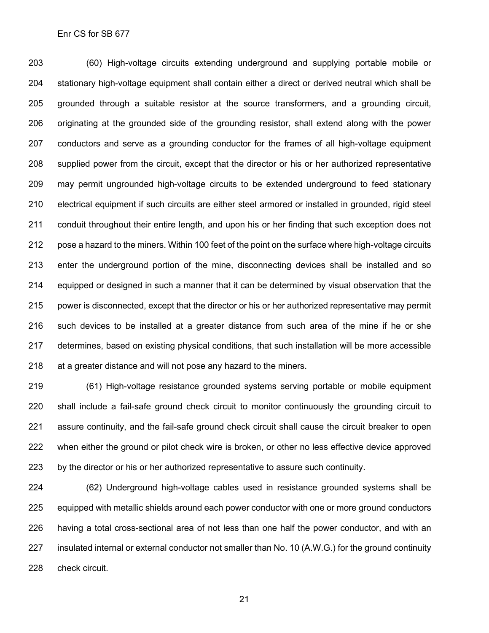(60) High-voltage circuits extending underground and supplying portable mobile or stationary high-voltage equipment shall contain either a direct or derived neutral which shall be grounded through a suitable resistor at the source transformers, and a grounding circuit, originating at the grounded side of the grounding resistor, shall extend along with the power conductors and serve as a grounding conductor for the frames of all high-voltage equipment supplied power from the circuit, except that the director or his or her authorized representative may permit ungrounded high-voltage circuits to be extended underground to feed stationary electrical equipment if such circuits are either steel armored or installed in grounded, rigid steel conduit throughout their entire length, and upon his or her finding that such exception does not pose a hazard to the miners. Within 100 feet of the point on the surface where high-voltage circuits enter the underground portion of the mine, disconnecting devices shall be installed and so equipped or designed in such a manner that it can be determined by visual observation that the power is disconnected, except that the director or his or her authorized representative may permit such devices to be installed at a greater distance from such area of the mine if he or she determines, based on existing physical conditions, that such installation will be more accessible 218 at a greater distance and will not pose any hazard to the miners.

 (61) High-voltage resistance grounded systems serving portable or mobile equipment shall include a fail-safe ground check circuit to monitor continuously the grounding circuit to assure continuity, and the fail-safe ground check circuit shall cause the circuit breaker to open when either the ground or pilot check wire is broken, or other no less effective device approved by the director or his or her authorized representative to assure such continuity.

 (62) Underground high-voltage cables used in resistance grounded systems shall be equipped with metallic shields around each power conductor with one or more ground conductors having a total cross-sectional area of not less than one half the power conductor, and with an insulated internal or external conductor not smaller than No. 10 (A.W.G.) for the ground continuity check circuit.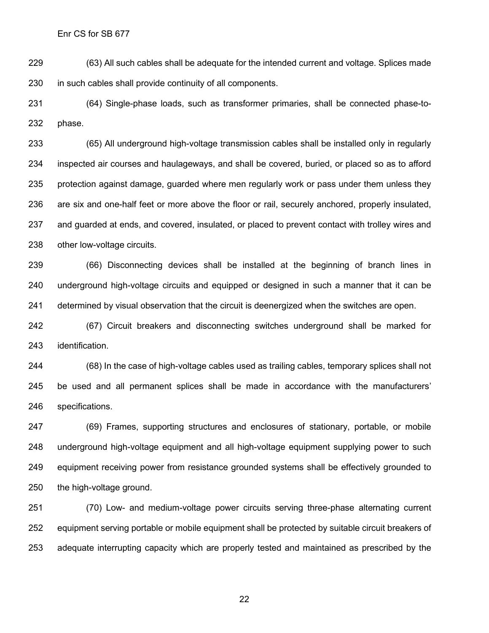(63) All such cables shall be adequate for the intended current and voltage. Splices made in such cables shall provide continuity of all components.

 (64) Single-phase loads, such as transformer primaries, shall be connected phase-to-phase.

 (65) All underground high-voltage transmission cables shall be installed only in regularly inspected air courses and haulageways, and shall be covered, buried, or placed so as to afford protection against damage, guarded where men regularly work or pass under them unless they are six and one-half feet or more above the floor or rail, securely anchored, properly insulated, and guarded at ends, and covered, insulated, or placed to prevent contact with trolley wires and other low-voltage circuits.

 (66) Disconnecting devices shall be installed at the beginning of branch lines in underground high-voltage circuits and equipped or designed in such a manner that it can be determined by visual observation that the circuit is deenergized when the switches are open.

 (67) Circuit breakers and disconnecting switches underground shall be marked for identification.

 (68) In the case of high-voltage cables used as trailing cables, temporary splices shall not be used and all permanent splices shall be made in accordance with the manufacturers' specifications.

 (69) Frames, supporting structures and enclosures of stationary, portable, or mobile underground high-voltage equipment and all high-voltage equipment supplying power to such equipment receiving power from resistance grounded systems shall be effectively grounded to the high-voltage ground.

 (70) Low- and medium-voltage power circuits serving three-phase alternating current equipment serving portable or mobile equipment shall be protected by suitable circuit breakers of adequate interrupting capacity which are properly tested and maintained as prescribed by the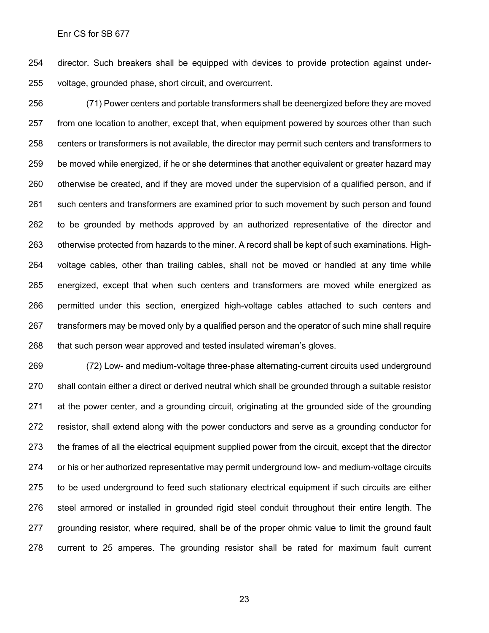director. Such breakers shall be equipped with devices to provide protection against under-voltage, grounded phase, short circuit, and overcurrent.

 (71) Power centers and portable transformers shall be deenergized before they are moved from one location to another, except that, when equipment powered by sources other than such centers or transformers is not available, the director may permit such centers and transformers to be moved while energized, if he or she determines that another equivalent or greater hazard may otherwise be created, and if they are moved under the supervision of a qualified person, and if such centers and transformers are examined prior to such movement by such person and found to be grounded by methods approved by an authorized representative of the director and otherwise protected from hazards to the miner. A record shall be kept of such examinations. High- voltage cables, other than trailing cables, shall not be moved or handled at any time while energized, except that when such centers and transformers are moved while energized as permitted under this section, energized high-voltage cables attached to such centers and transformers may be moved only by a qualified person and the operator of such mine shall require that such person wear approved and tested insulated wireman's gloves.

 (72) Low- and medium-voltage three-phase alternating-current circuits used underground shall contain either a direct or derived neutral which shall be grounded through a suitable resistor at the power center, and a grounding circuit, originating at the grounded side of the grounding resistor, shall extend along with the power conductors and serve as a grounding conductor for the frames of all the electrical equipment supplied power from the circuit, except that the director or his or her authorized representative may permit underground low- and medium-voltage circuits to be used underground to feed such stationary electrical equipment if such circuits are either steel armored or installed in grounded rigid steel conduit throughout their entire length. The grounding resistor, where required, shall be of the proper ohmic value to limit the ground fault current to 25 amperes. The grounding resistor shall be rated for maximum fault current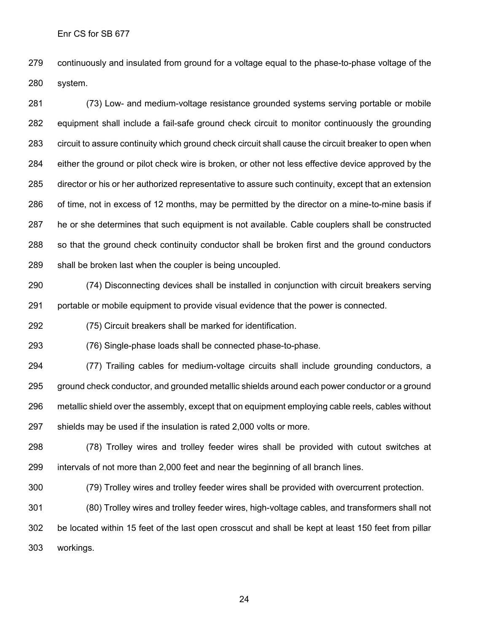continuously and insulated from ground for a voltage equal to the phase-to-phase voltage of the system.

 (73) Low- and medium-voltage resistance grounded systems serving portable or mobile equipment shall include a fail-safe ground check circuit to monitor continuously the grounding circuit to assure continuity which ground check circuit shall cause the circuit breaker to open when either the ground or pilot check wire is broken, or other not less effective device approved by the director or his or her authorized representative to assure such continuity, except that an extension of time, not in excess of 12 months, may be permitted by the director on a mine-to-mine basis if he or she determines that such equipment is not available. Cable couplers shall be constructed so that the ground check continuity conductor shall be broken first and the ground conductors shall be broken last when the coupler is being uncoupled.

 (74) Disconnecting devices shall be installed in conjunction with circuit breakers serving portable or mobile equipment to provide visual evidence that the power is connected.

(75) Circuit breakers shall be marked for identification.

(76) Single-phase loads shall be connected phase-to-phase.

 (77) Trailing cables for medium-voltage circuits shall include grounding conductors, a ground check conductor, and grounded metallic shields around each power conductor or a ground metallic shield over the assembly, except that on equipment employing cable reels, cables without shields may be used if the insulation is rated 2,000 volts or more.

 (78) Trolley wires and trolley feeder wires shall be provided with cutout switches at intervals of not more than 2,000 feet and near the beginning of all branch lines.

(79) Trolley wires and trolley feeder wires shall be provided with overcurrent protection.

 (80) Trolley wires and trolley feeder wires, high-voltage cables, and transformers shall not be located within 15 feet of the last open crosscut and shall be kept at least 150 feet from pillar workings.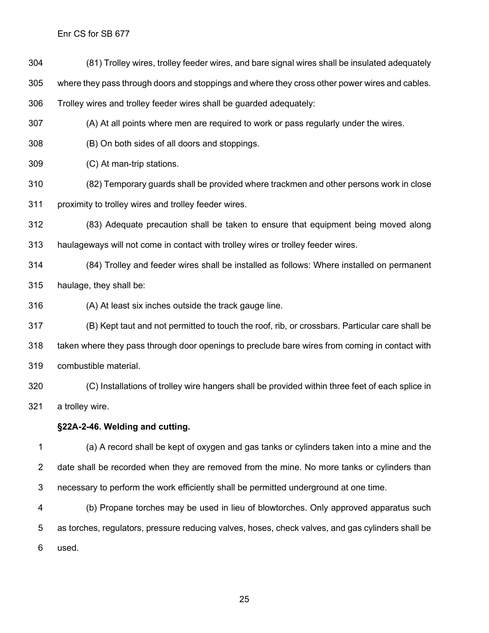(81) Trolley wires, trolley feeder wires, and bare signal wires shall be insulated adequately

where they pass through doors and stoppings and where they cross other power wires and cables.

Trolley wires and trolley feeder wires shall be guarded adequately:

(A) At all points where men are required to work or pass regularly under the wires.

(B) On both sides of all doors and stoppings.

(C) At man-trip stations.

(82) Temporary guards shall be provided where trackmen and other persons work in close

proximity to trolley wires and trolley feeder wires.

 (83) Adequate precaution shall be taken to ensure that equipment being moved along haulageways will not come in contact with trolley wires or trolley feeder wires.

 (84) Trolley and feeder wires shall be installed as follows: Where installed on permanent haulage, they shall be:

(A) At least six inches outside the track gauge line.

 (B) Kept taut and not permitted to touch the roof, rib, or crossbars. Particular care shall be taken where they pass through door openings to preclude bare wires from coming in contact with combustible material.

 (C) Installations of trolley wire hangers shall be provided within three feet of each splice in a trolley wire.

### **§22A-2-46. Welding and cutting.**

 (a) A record shall be kept of oxygen and gas tanks or cylinders taken into a mine and the 2 date shall be recorded when they are removed from the mine. No more tanks or cylinders than necessary to perform the work efficiently shall be permitted underground at one time.

 (b) Propane torches may be used in lieu of blowtorches. Only approved apparatus such as torches, regulators, pressure reducing valves, hoses, check valves, and gas cylinders shall be used.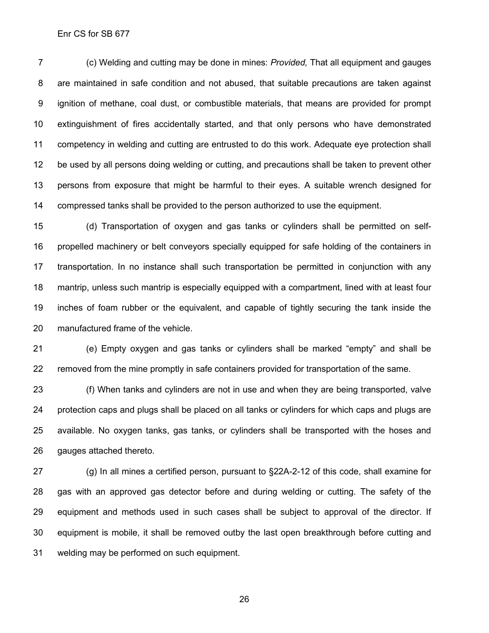(c) Welding and cutting may be done in mines: *Provided,* That all equipment and gauges are maintained in safe condition and not abused, that suitable precautions are taken against ignition of methane, coal dust, or combustible materials, that means are provided for prompt extinguishment of fires accidentally started, and that only persons who have demonstrated competency in welding and cutting are entrusted to do this work. Adequate eye protection shall be used by all persons doing welding or cutting, and precautions shall be taken to prevent other persons from exposure that might be harmful to their eyes. A suitable wrench designed for compressed tanks shall be provided to the person authorized to use the equipment.

 (d) Transportation of oxygen and gas tanks or cylinders shall be permitted on self- propelled machinery or belt conveyors specially equipped for safe holding of the containers in transportation. In no instance shall such transportation be permitted in conjunction with any mantrip, unless such mantrip is especially equipped with a compartment, lined with at least four inches of foam rubber or the equivalent, and capable of tightly securing the tank inside the manufactured frame of the vehicle.

 (e) Empty oxygen and gas tanks or cylinders shall be marked "empty" and shall be removed from the mine promptly in safe containers provided for transportation of the same.

 (f) When tanks and cylinders are not in use and when they are being transported, valve protection caps and plugs shall be placed on all tanks or cylinders for which caps and plugs are available. No oxygen tanks, gas tanks, or cylinders shall be transported with the hoses and gauges attached thereto.

27 (g) In all mines a certified person, pursuant to §22A-2-12 of this code, shall examine for gas with an approved gas detector before and during welding or cutting. The safety of the equipment and methods used in such cases shall be subject to approval of the director. If equipment is mobile, it shall be removed outby the last open breakthrough before cutting and welding may be performed on such equipment.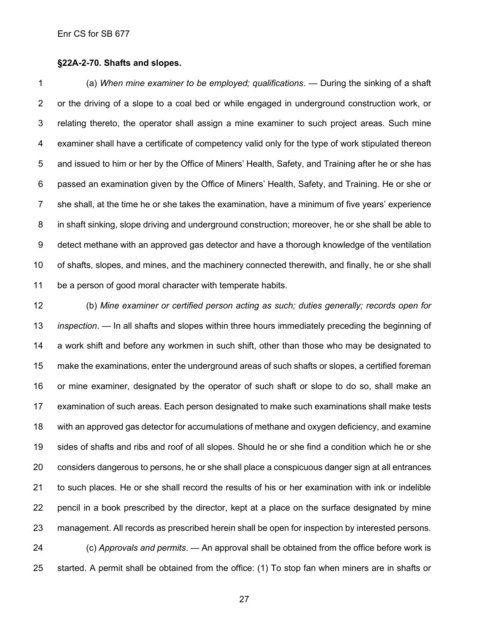#### **§22A-2-70. Shafts and slopes.**

 (a) *When mine examiner to be employed; qualifications*. — During the sinking of a shaft or the driving of a slope to a coal bed or while engaged in underground construction work, or relating thereto, the operator shall assign a mine examiner to such project areas. Such mine examiner shall have a certificate of competency valid only for the type of work stipulated thereon and issued to him or her by the Office of Miners' Health, Safety, and Training after he or she has passed an examination given by the Office of Miners' Health, Safety, and Training. He or she or she shall, at the time he or she takes the examination, have a minimum of five years' experience in shaft sinking, slope driving and underground construction; moreover, he or she shall be able to detect methane with an approved gas detector and have a thorough knowledge of the ventilation of shafts, slopes, and mines, and the machinery connected therewith, and finally, he or she shall be a person of good moral character with temperate habits.

 (b) *Mine examiner or certified person acting as such; duties generally; records open for inspection*. — In all shafts and slopes within three hours immediately preceding the beginning of a work shift and before any workmen in such shift, other than those who may be designated to make the examinations, enter the underground areas of such shafts or slopes, a certified foreman or mine examiner, designated by the operator of such shaft or slope to do so, shall make an examination of such areas. Each person designated to make such examinations shall make tests with an approved gas detector for accumulations of methane and oxygen deficiency, and examine sides of shafts and ribs and roof of all slopes. Should he or she find a condition which he or she considers dangerous to persons, he or she shall place a conspicuous danger sign at all entrances to such places. He or she shall record the results of his or her examination with ink or indelible pencil in a book prescribed by the director, kept at a place on the surface designated by mine management. All records as prescribed herein shall be open for inspection by interested persons. (c) *Approvals and permits*. — An approval shall be obtained from the office before work is started. A permit shall be obtained from the office: (1) To stop fan when miners are in shafts or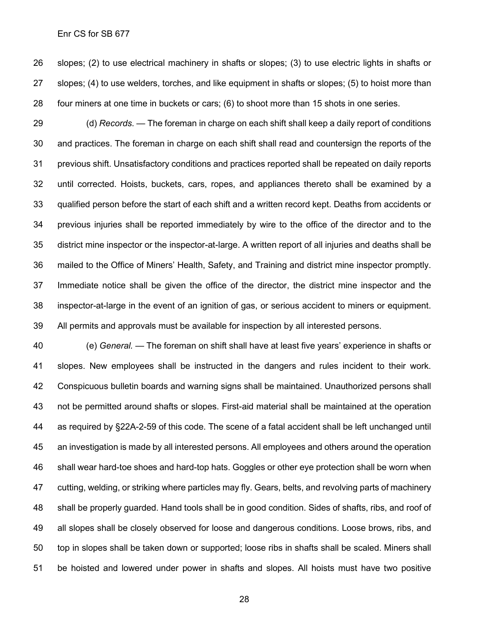slopes; (2) to use electrical machinery in shafts or slopes; (3) to use electric lights in shafts or slopes; (4) to use welders, torches, and like equipment in shafts or slopes; (5) to hoist more than four miners at one time in buckets or cars; (6) to shoot more than 15 shots in one series.

 (d) *Records*. — The foreman in charge on each shift shall keep a daily report of conditions and practices. The foreman in charge on each shift shall read and countersign the reports of the previous shift. Unsatisfactory conditions and practices reported shall be repeated on daily reports until corrected. Hoists, buckets, cars, ropes, and appliances thereto shall be examined by a qualified person before the start of each shift and a written record kept. Deaths from accidents or previous injuries shall be reported immediately by wire to the office of the director and to the district mine inspector or the inspector-at-large. A written report of all injuries and deaths shall be mailed to the Office of Miners' Health, Safety, and Training and district mine inspector promptly. Immediate notice shall be given the office of the director, the district mine inspector and the inspector-at-large in the event of an ignition of gas, or serious accident to miners or equipment. All permits and approvals must be available for inspection by all interested persons.

 (e) *General.* — The foreman on shift shall have at least five years' experience in shafts or slopes. New employees shall be instructed in the dangers and rules incident to their work. Conspicuous bulletin boards and warning signs shall be maintained. Unauthorized persons shall not be permitted around shafts or slopes. First-aid material shall be maintained at the operation as required by §22A-2-59 of this code. The scene of a fatal accident shall be left unchanged until an investigation is made by all interested persons. All employees and others around the operation shall wear hard-toe shoes and hard-top hats. Goggles or other eye protection shall be worn when cutting, welding, or striking where particles may fly. Gears, belts, and revolving parts of machinery shall be properly guarded. Hand tools shall be in good condition. Sides of shafts, ribs, and roof of all slopes shall be closely observed for loose and dangerous conditions. Loose brows, ribs, and top in slopes shall be taken down or supported; loose ribs in shafts shall be scaled. Miners shall be hoisted and lowered under power in shafts and slopes. All hoists must have two positive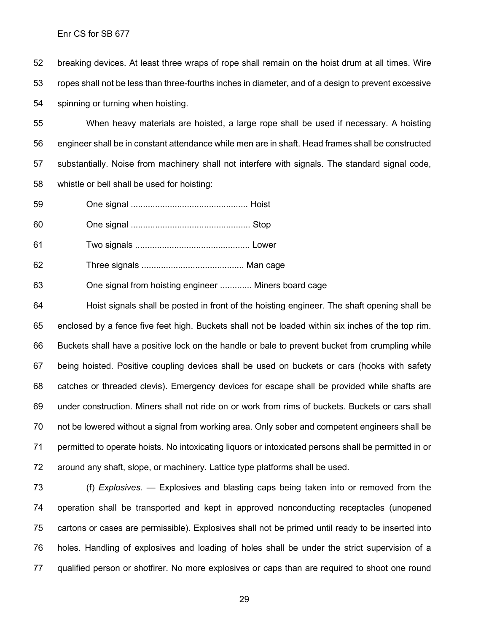breaking devices. At least three wraps of rope shall remain on the hoist drum at all times. Wire ropes shall not be less than three-fourths inches in diameter, and of a design to prevent excessive spinning or turning when hoisting.

 When heavy materials are hoisted, a large rope shall be used if necessary. A hoisting engineer shall be in constant attendance while men are in shaft. Head frames shall be constructed substantially. Noise from machinery shall not interfere with signals. The standard signal code, whistle or bell shall be used for hoisting:

- One signal ................................................ Hoist
- One signal ................................................. Stop
- Two signals ............................................... Lower
- Three signals .......................................... Man cage
- One signal from hoisting engineer ............. Miners board cage

 Hoist signals shall be posted in front of the hoisting engineer. The shaft opening shall be enclosed by a fence five feet high. Buckets shall not be loaded within six inches of the top rim. Buckets shall have a positive lock on the handle or bale to prevent bucket from crumpling while being hoisted. Positive coupling devices shall be used on buckets or cars (hooks with safety catches or threaded clevis). Emergency devices for escape shall be provided while shafts are under construction. Miners shall not ride on or work from rims of buckets. Buckets or cars shall not be lowered without a signal from working area. Only sober and competent engineers shall be permitted to operate hoists. No intoxicating liquors or intoxicated persons shall be permitted in or around any shaft, slope, or machinery. Lattice type platforms shall be used.

 (f) *Explosives.* — Explosives and blasting caps being taken into or removed from the operation shall be transported and kept in approved nonconducting receptacles (unopened cartons or cases are permissible). Explosives shall not be primed until ready to be inserted into holes. Handling of explosives and loading of holes shall be under the strict supervision of a qualified person or shotfirer. No more explosives or caps than are required to shoot one round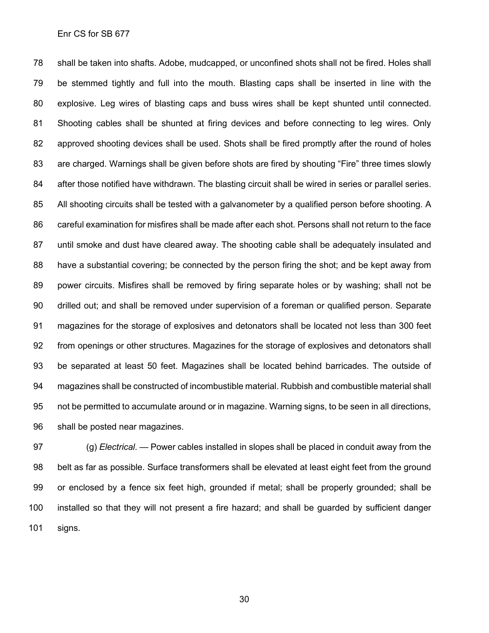shall be taken into shafts. Adobe, mudcapped, or unconfined shots shall not be fired. Holes shall be stemmed tightly and full into the mouth. Blasting caps shall be inserted in line with the explosive. Leg wires of blasting caps and buss wires shall be kept shunted until connected. Shooting cables shall be shunted at firing devices and before connecting to leg wires. Only approved shooting devices shall be used. Shots shall be fired promptly after the round of holes are charged. Warnings shall be given before shots are fired by shouting "Fire" three times slowly 84 after those notified have withdrawn. The blasting circuit shall be wired in series or parallel series. 85 All shooting circuits shall be tested with a galvanometer by a qualified person before shooting. A careful examination for misfires shall be made after each shot. Persons shall not return to the face until smoke and dust have cleared away. The shooting cable shall be adequately insulated and have a substantial covering; be connected by the person firing the shot; and be kept away from power circuits. Misfires shall be removed by firing separate holes or by washing; shall not be drilled out; and shall be removed under supervision of a foreman or qualified person. Separate magazines for the storage of explosives and detonators shall be located not less than 300 feet from openings or other structures. Magazines for the storage of explosives and detonators shall be separated at least 50 feet. Magazines shall be located behind barricades. The outside of magazines shall be constructed of incombustible material. Rubbish and combustible material shall not be permitted to accumulate around or in magazine. Warning signs, to be seen in all directions, shall be posted near magazines.

 (g) *Electrical*. — Power cables installed in slopes shall be placed in conduit away from the belt as far as possible. Surface transformers shall be elevated at least eight feet from the ground or enclosed by a fence six feet high, grounded if metal; shall be properly grounded; shall be installed so that they will not present a fire hazard; and shall be guarded by sufficient danger signs.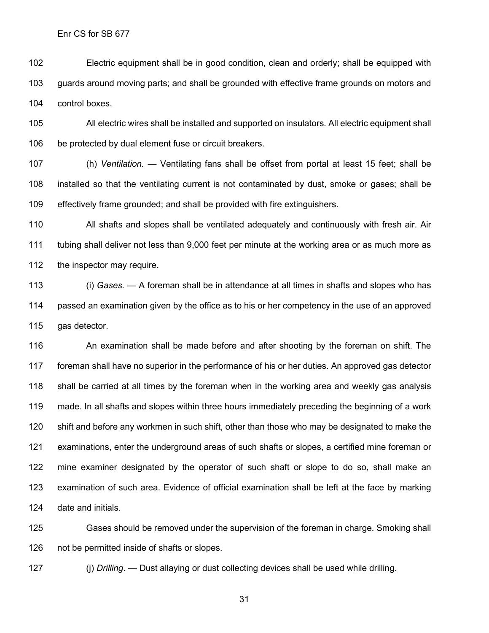Electric equipment shall be in good condition, clean and orderly; shall be equipped with guards around moving parts; and shall be grounded with effective frame grounds on motors and control boxes.

 All electric wires shall be installed and supported on insulators. All electric equipment shall be protected by dual element fuse or circuit breakers.

 (h) *Ventilation.* — Ventilating fans shall be offset from portal at least 15 feet; shall be installed so that the ventilating current is not contaminated by dust, smoke or gases; shall be effectively frame grounded; and shall be provided with fire extinguishers.

 All shafts and slopes shall be ventilated adequately and continuously with fresh air. Air tubing shall deliver not less than 9,000 feet per minute at the working area or as much more as 112 the inspector may require.

 (i) *Gases.* — A foreman shall be in attendance at all times in shafts and slopes who has passed an examination given by the office as to his or her competency in the use of an approved gas detector.

 An examination shall be made before and after shooting by the foreman on shift. The foreman shall have no superior in the performance of his or her duties. An approved gas detector shall be carried at all times by the foreman when in the working area and weekly gas analysis made. In all shafts and slopes within three hours immediately preceding the beginning of a work shift and before any workmen in such shift, other than those who may be designated to make the examinations, enter the underground areas of such shafts or slopes, a certified mine foreman or mine examiner designated by the operator of such shaft or slope to do so, shall make an examination of such area. Evidence of official examination shall be left at the face by marking date and initials.

 Gases should be removed under the supervision of the foreman in charge. Smoking shall not be permitted inside of shafts or slopes.

(j) *Drilling*. — Dust allaying or dust collecting devices shall be used while drilling.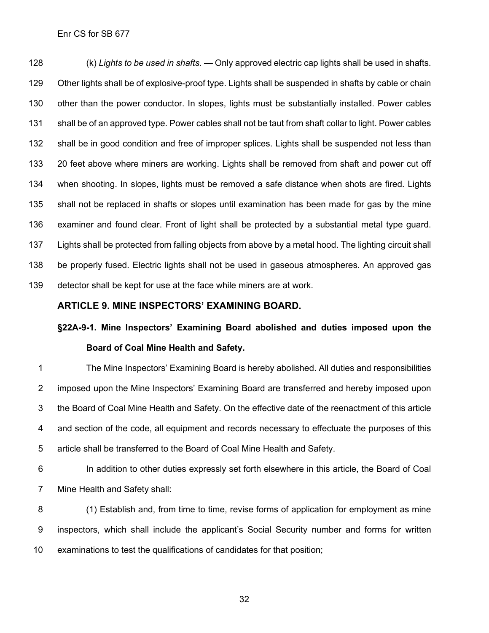(k) *Lights to be used in shafts.* — Only approved electric cap lights shall be used in shafts. Other lights shall be of explosive-proof type. Lights shall be suspended in shafts by cable or chain other than the power conductor. In slopes, lights must be substantially installed. Power cables shall be of an approved type. Power cables shall not be taut from shaft collar to light. Power cables shall be in good condition and free of improper splices. Lights shall be suspended not less than 20 feet above where miners are working. Lights shall be removed from shaft and power cut off when shooting. In slopes, lights must be removed a safe distance when shots are fired. Lights shall not be replaced in shafts or slopes until examination has been made for gas by the mine examiner and found clear. Front of light shall be protected by a substantial metal type guard. Lights shall be protected from falling objects from above by a metal hood. The lighting circuit shall be properly fused. Electric lights shall not be used in gaseous atmospheres. An approved gas detector shall be kept for use at the face while miners are at work.

### **ARTICLE 9. MINE INSPECTORS' EXAMINING BOARD.**

## **§22A-9-1. Mine Inspectors' Examining Board abolished and duties imposed upon the Board of Coal Mine Health and Safety.**

 The Mine Inspectors' Examining Board is hereby abolished. All duties and responsibilities imposed upon the Mine Inspectors' Examining Board are transferred and hereby imposed upon the Board of Coal Mine Health and Safety. On the effective date of the reenactment of this article and section of the code, all equipment and records necessary to effectuate the purposes of this article shall be transferred to the Board of Coal Mine Health and Safety.

 In addition to other duties expressly set forth elsewhere in this article, the Board of Coal Mine Health and Safety shall:

 (1) Establish and, from time to time, revise forms of application for employment as mine inspectors, which shall include the applicant's Social Security number and forms for written examinations to test the qualifications of candidates for that position;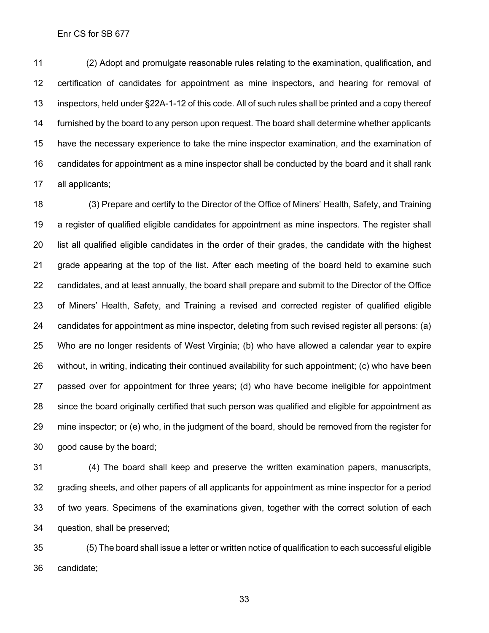(2) Adopt and promulgate reasonable rules relating to the examination, qualification, and certification of candidates for appointment as mine inspectors, and hearing for removal of inspectors, held under §22A-1-12 of this code. All of such rules shall be printed and a copy thereof furnished by the board to any person upon request. The board shall determine whether applicants have the necessary experience to take the mine inspector examination, and the examination of candidates for appointment as a mine inspector shall be conducted by the board and it shall rank all applicants;

 (3) Prepare and certify to the Director of the Office of Miners' Health, Safety, and Training a register of qualified eligible candidates for appointment as mine inspectors. The register shall list all qualified eligible candidates in the order of their grades, the candidate with the highest grade appearing at the top of the list. After each meeting of the board held to examine such candidates, and at least annually, the board shall prepare and submit to the Director of the Office of Miners' Health, Safety, and Training a revised and corrected register of qualified eligible candidates for appointment as mine inspector, deleting from such revised register all persons: (a) Who are no longer residents of West Virginia; (b) who have allowed a calendar year to expire without, in writing, indicating their continued availability for such appointment; (c) who have been passed over for appointment for three years; (d) who have become ineligible for appointment since the board originally certified that such person was qualified and eligible for appointment as mine inspector; or (e) who, in the judgment of the board, should be removed from the register for good cause by the board;

 (4) The board shall keep and preserve the written examination papers, manuscripts, grading sheets, and other papers of all applicants for appointment as mine inspector for a period of two years. Specimens of the examinations given, together with the correct solution of each question, shall be preserved;

 (5) The board shall issue a letter or written notice of qualification to each successful eligible candidate;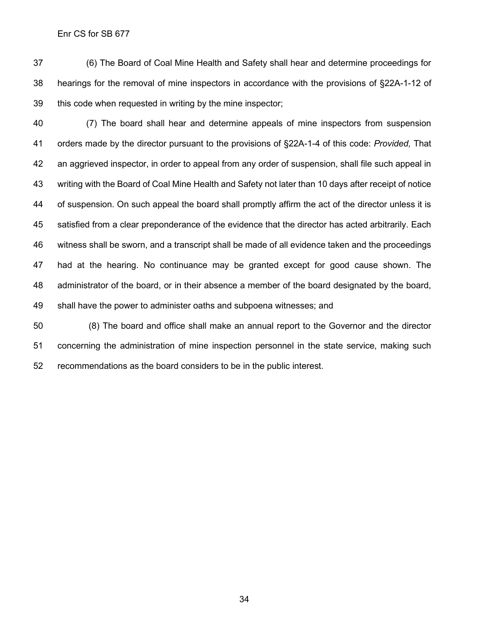(6) The Board of Coal Mine Health and Safety shall hear and determine proceedings for hearings for the removal of mine inspectors in accordance with the provisions of §22A-1-12 of this code when requested in writing by the mine inspector;

 (7) The board shall hear and determine appeals of mine inspectors from suspension orders made by the director pursuant to the provisions of §22A-1-4 of this code: *Provided,* That an aggrieved inspector, in order to appeal from any order of suspension, shall file such appeal in writing with the Board of Coal Mine Health and Safety not later than 10 days after receipt of notice of suspension. On such appeal the board shall promptly affirm the act of the director unless it is satisfied from a clear preponderance of the evidence that the director has acted arbitrarily. Each witness shall be sworn, and a transcript shall be made of all evidence taken and the proceedings had at the hearing. No continuance may be granted except for good cause shown. The administrator of the board, or in their absence a member of the board designated by the board, shall have the power to administer oaths and subpoena witnesses; and

 (8) The board and office shall make an annual report to the Governor and the director concerning the administration of mine inspection personnel in the state service, making such recommendations as the board considers to be in the public interest.